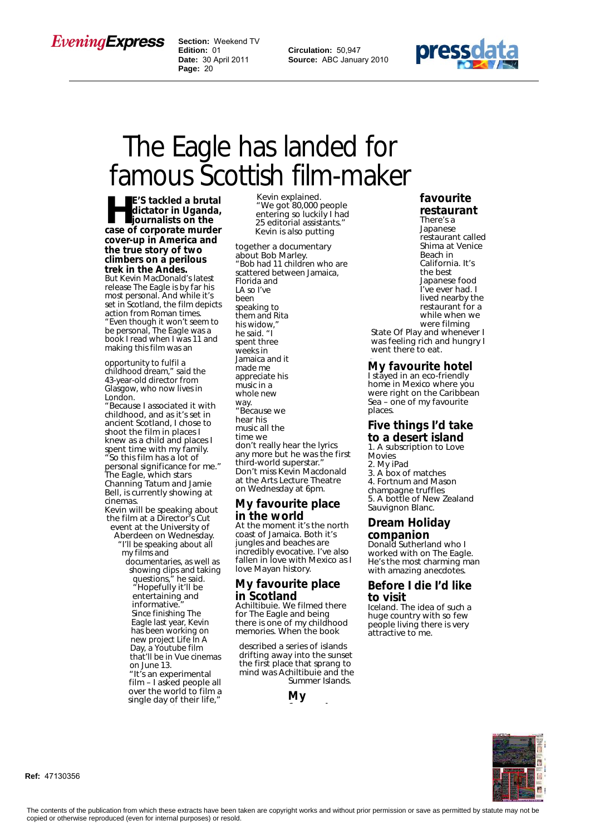# *EveningExpress*

 **Section:** Weekend TV  **Edition:** 01  **Date:** 30 April 2011  **Page:** 20

**Circulation:** 50,947 **Source:** ABC January 2010



# The Eagle has landed for famous Scottish film-maker

**He's tackled a brutal**<br>
dictator in Uganda,<br>
journalists on the<br>
case of corporate murder **dictator in Uganda, case of corporate murder cover-up in America and the true story of two climbers on a perilous trek in the Andes.**

But Kevin MacDonald's latest release The Eagle is by far his most personal. And while it's set in Scotland, the film depicts action from Roman times. "Even though it won't seem to

be personal, The Eagle was a book I read when I was 11 and making this film was an

opportunity to fulfil a childhood dream," said the 43-year-old director from Glasgow, who now lives in London.

"Because I associated it with childhood, and as it's set in ancient Scotland, I chose to shoot the film in places I knew as a child and places I spent time with my family. "So this film has a lot of personal significance for me." The Eagle, which stars Channing Tatum and Jamie Bell, is currently showing at cinemas.

- Kevin will be speaking about the film at a Director's Cut event at the University of
	- Aberdeen on Wednesday. "I'll be speaking about all my films and

documentaries, as well as showing clips and taking questions," he said. "Hopefully it'll be entertaining and informative. Since finishing The Eagle last year, Kevin has been working on new project Life In A Day, a Youtube film that'll be in Vue cinemas on June 13. "It's an experimental film – I asked people all

over the world to film a single day of their life,"

Kevin explained. "We got 80,000 people entering so luckily I had 25 editorial assistants." Kevin is also putting

together a documentary about Bob Marley. "Bob had 11 children who are scattered between Jamaica, Florida and LA so I've been speaking to them and Rita his widow," he said. "I spent three weeks in Jamaica and it made me appreciate his music in a whole new way. "Because we hear his music all the time we don't really hear the lyrics any more but he was the first third-world superstar." Don't miss Kevin Macdonald at the Arts Lecture Theatre on Wednesday at 6pm.

#### **My favourite place in the world**

At the moment it's the north coast of Jamaica. Both it's jungles and beaches are incredibly evocative. I've also fallen in love with Mexico as I love Mayan history.

## **My favourite place in Scotland**

Achiltibuie. We filmed there for The Eagle and being there is one of my childhood memories. When the book

described a series of islands drifting away into the sunset the first place that sprang to mind was Achiltibuie and the Summer Islands.

**My**

**favourite**

#### **favourite restaurant**

There's a Japanese restaurant called Shima at Venice Beach in California. It's the best Japanese food I've ever had. I lived nearby the restaurant for a while when we were filming State Of Play and whenever I

was feeling rich and hungry I went there to eat.

#### **My favourite hotel**

I stayed in an eco-friendly home in Mexico where you were right on the Caribbean Sea – one of my favourite places.

#### **Five things I'd take to a desert island**

1. A subscription to Love Movies 2. My iPad 3. A box of matches 4. Fortnum and Mason champagne truffles 5. A bottle of New Zealand Sauvignon Blanc.

### **Dream Holiday companion**

Donald Sutherland who I worked with on The Eagle. He's the most charming man with amazing anecdotes.

#### **Before I die I'd like to visit**

Iceland. The idea of such a huge country with so few people living there is very attractive to me.



**Ref:** 47130356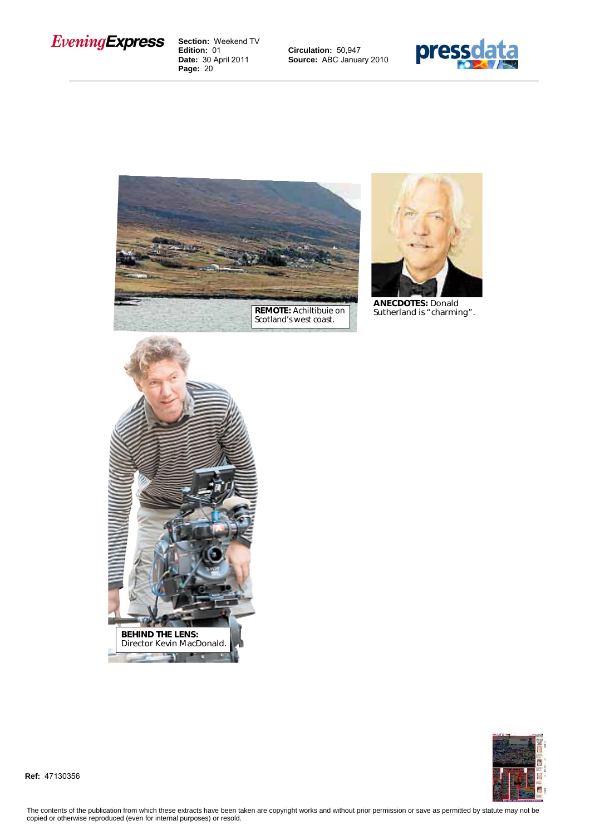

 **Section:** Weekend TV  **Edition:** 01  **Date:** 30 April 2011  **Page:** 20

**Circulation:** 50,947 **Source:** ABC January 2010







**ANECDOTES:** Donald Sutherland is "charming".





**Ref:** 47130356